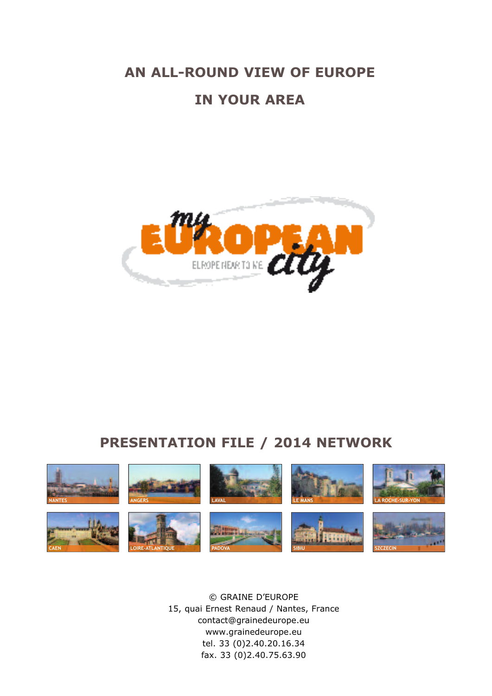# **AN ALL-ROUND VIEW OF EUROPE IN YOUR AREA**



### **PRESENTATION FILE / 2014 NETWORK**



© GRAINE D'EUROPE 15, quai Ernest Renaud / Nantes, France contact@grainedeurope.eu www.grainedeurope.eu tel. 33 (0)2.40.20.16.34 fax. 33 (0)2.40.75.63.90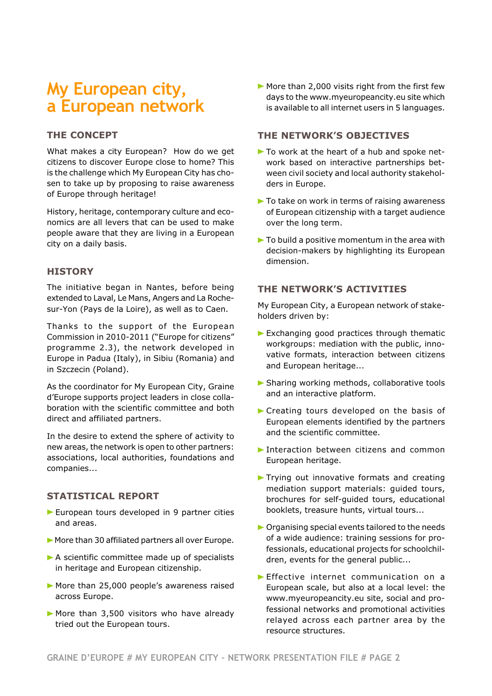### **My European city, a European network**

#### **THE CONCEPT**

What makes a city European? How do we get citizens to discover Europe close to home? This is the challenge which My European City has chosen to take up by proposing to raise awareness of Europe through heritage!

History, heritage, contemporary culture and economics are all levers that can be used to make people aware that they are living in a European city on a daily basis.

#### **HISTORY**

The initiative began in Nantes, before being extended to Laval, Le Mans, Angers and La Rochesur-Yon (Pays de la Loire), as well as to Caen.

Thanks to the support of the European Commission in 2010-2011 ("Europe for citizens" programme 2.3), the network developed in Europe in Padua (Italy), in Sibiu (Romania) and in Szczecin (Poland).

As the coordinator for My European City, Graine d'Europe supports project leaders in close collaboration with the scientific committee and both direct and affiliated partners.

In the desire to extend the sphere of activity to new areas, the network is open to other partners: associations, local authorities, foundations and companies...

#### **STATISTICAL REPORT**

- **>** European tours developed in 9 partner cities and areas.
- **>** More than 30 affiliated partners all over Europe.
- **>** A scientific committee made up of specialists in heritage and European citizenship.
- **>** More than 25,000 people's awareness raised across Europe.
- **>** More than 3,500 visitors who have already tried out the European tours.

**>** More than 2,000 visits right from the first few days to the www.myeuropeancity.eu site which is available to all internet users in 5 languages.

#### **THE NETWORK'S OBJECTIVES**

- **>** To work at the heart of a hub and spoke network based on interactive partnerships between civil society and local authority stakeholders in Europe.
- **>** To take on work in terms of raising awareness of European citizenship with a target audience over the long term.
- **>** To build a positive momentum in the area with decision-makers by highlighting its European dimension.

#### **THE NETWORK'S ACTIVITIES**

My European City, a European network of stakeholders driven by:

- **>** Exchanging good practices through thematic workgroups: mediation with the public, innovative formats, interaction between citizens and European heritage...
- **>** Sharing working methods, collaborative tools and an interactive platform.
- **>** Creating tours developed on the basis of European elements identified by the partners and the scientific committee.
- **>** Interaction between citizens and common European heritage.
- **>** Trying out innovative formats and creating mediation support materials: guided tours, brochures for self-guided tours, educational booklets, treasure hunts, virtual tours...
- **>** Organising special events tailored to the needs of a wide audience: training sessions for professionals, educational projects for schoolchildren, events for the general public...
- **>** Effective internet communication on a European scale, but also at a local level: the www.myeuropeancity.eu site, social and professional networks and promotional activities relayed across each partner area by the resource structures.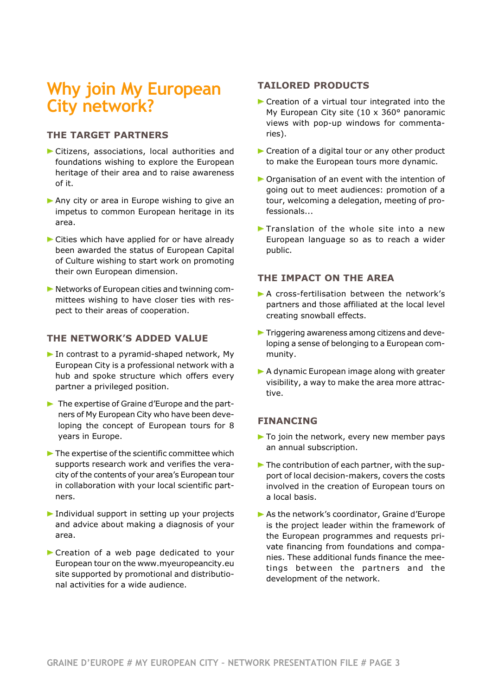### **Why join My European City network?**

#### **THE TARGET PARTNERS**

- **>** Citizens, associations, local authorities and foundations wishing to explore the European heritage of their area and to raise awareness of it.
- **>** Any city or area in Europe wishing to give an impetus to common European heritage in its area.
- **>** Cities which have applied for or have already been awarded the status of European Capital of Culture wishing to start work on promoting their own European dimension.
- **>** Networks of European cities and twinning committees wishing to have closer ties with respect to their areas of cooperation.

#### **THE NETWORK'S ADDED VALUE**

- **>** In contrast to a pyramid-shaped network, My European City is a professional network with a hub and spoke structure which offers every partner a privileged position.
- **>** The expertise of Graine d'Europe and the partners of My European City who have been developing the concept of European tours for 8 years in Europe.
- **>** The expertise of the scientific committee which supports research work and verifies the veracity of the contents of your area's European tour in collaboration with your local scientific partners.
- **>** Individual support in setting up your projects and advice about making a diagnosis of your area.
- **>** Creation of a web page dedicated to your European tour on the www.myeuropeancity.eu site supported by promotional and distributional activities for a wide audience.

#### **TAILORED PRODUCTS**

- **>** Creation of a virtual tour integrated into the My European City site (10 x 360° panoramic views with pop-up windows for commentaries).
- **>** Creation of a digital tour or any other product to make the European tours more dynamic.
- **>** Organisation of an event with the intention of going out to meet audiences: promotion of a tour, welcoming a delegation, meeting of professionals...
- **>** Translation of the whole site into a new European language so as to reach a wider public.

#### **THE IMPACT ON THE AREA**

- **>** A cross-fertilisation between the network's partners and those affiliated at the local level creating snowball effects.
- **>** Triggering awareness among citizens and developing a sense of belonging to a European community.
- **>** A dynamic European image along with greater visibility, a way to make the area more attractive.

#### **FINANCING**

- **>** To join the network, every new member pays an annual subscription.
- **>** The contribution of each partner, with the support of local decision-makers, covers the costs involved in the creation of European tours on a local basis.
- **>** As the network's coordinator, Graine d'Europe is the project leader within the framework of the European programmes and requests private financing from foundations and companies. These additional funds finance the meetings between the partners and the development of the network.